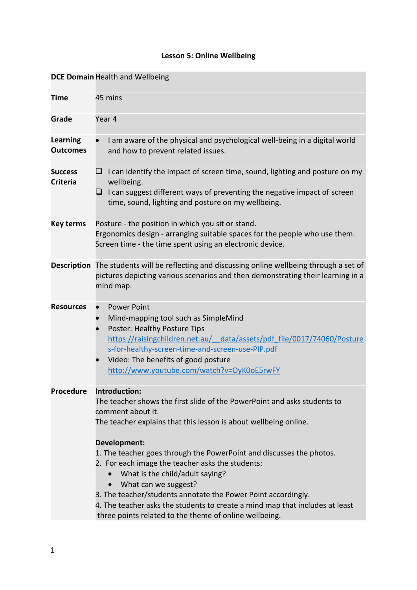## **Lesson 5: Online Wellbeing**

|                                    | <b>DCE Domain Health and Wellbeing</b>                                                                                                                                                                                                                                                                                                                                                                                                                                                                                                                                                                            |
|------------------------------------|-------------------------------------------------------------------------------------------------------------------------------------------------------------------------------------------------------------------------------------------------------------------------------------------------------------------------------------------------------------------------------------------------------------------------------------------------------------------------------------------------------------------------------------------------------------------------------------------------------------------|
|                                    |                                                                                                                                                                                                                                                                                                                                                                                                                                                                                                                                                                                                                   |
| <b>Time</b>                        | 45 mins                                                                                                                                                                                                                                                                                                                                                                                                                                                                                                                                                                                                           |
| Grade                              | Year 4                                                                                                                                                                                                                                                                                                                                                                                                                                                                                                                                                                                                            |
| <b>Learning</b><br><b>Outcomes</b> | I am aware of the physical and psychological well-being in a digital world<br>and how to prevent related issues.                                                                                                                                                                                                                                                                                                                                                                                                                                                                                                  |
| <b>Success</b><br><b>Criteria</b>  | $\Box$ I can identify the impact of screen time, sound, lighting and posture on my<br>wellbeing.<br>$\Box$ I can suggest different ways of preventing the negative impact of screen<br>time, sound, lighting and posture on my wellbeing.                                                                                                                                                                                                                                                                                                                                                                         |
| <b>Key terms</b>                   | Posture - the position in which you sit or stand.<br>Ergonomics design - arranging suitable spaces for the people who use them.<br>Screen time - the time spent using an electronic device.                                                                                                                                                                                                                                                                                                                                                                                                                       |
|                                    | Description The students will be reflecting and discussing online wellbeing through a set of<br>pictures depicting various scenarios and then demonstrating their learning in a<br>mind map.                                                                                                                                                                                                                                                                                                                                                                                                                      |
| <b>Resources</b>                   | <b>Power Point</b><br>Mind-mapping tool such as SimpleMind<br>Poster: Healthy Posture Tips<br>https://raisingchildren.net.au/ data/assets/pdf file/0017/74060/Posture<br>s-for-healthy-screen-time-and-screen-use-PIP.pdf<br>Video: The benefits of good posture<br>http://www.youtube.com/watch?v=OyK0oE5rwFY                                                                                                                                                                                                                                                                                                    |
| <b>Procedure</b>                   | Introduction:<br>The teacher shows the first slide of the PowerPoint and asks students to<br>comment about it.<br>The teacher explains that this lesson is about wellbeing online.<br>Development:<br>1. The teacher goes through the PowerPoint and discusses the photos.<br>2. For each image the teacher asks the students:<br>What is the child/adult saying?<br>What can we suggest?<br>$\bullet$<br>3. The teacher/students annotate the Power Point accordingly.<br>4. The teacher asks the students to create a mind map that includes at least<br>three points related to the theme of online wellbeing. |